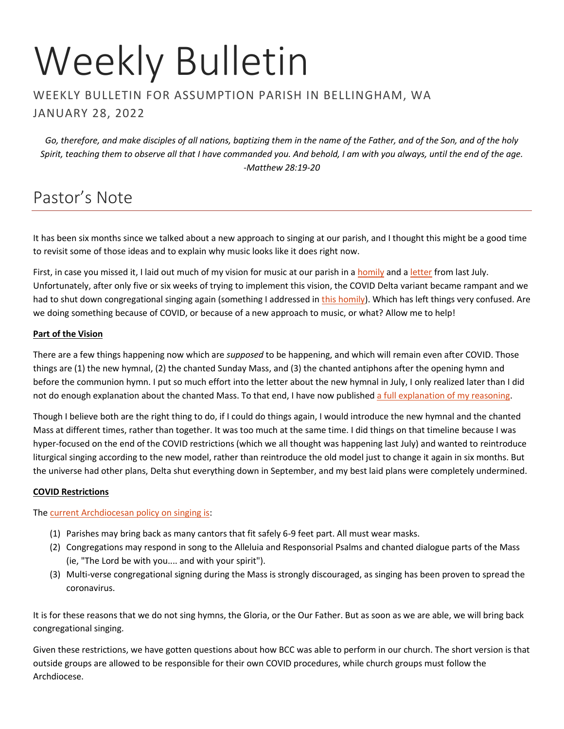# Weekly Bulletin

### WEEKLY BULLETIN FOR ASSUMPTION PARISH IN BELLINGHAM, WA JANUARY 28, 2022

*Go, therefore, and make disciples of all nations, baptizing them in the name of the Father, and of the Son, and of the holy Spirit, teaching them to observe all that I have commanded you. And behold, I am with you always, until the end of the age. -Matthew 28:19-20*

# Pastor's Note

It has been six months since we talked about a new approach to singing at our parish, and I thought this might be a good time to revisit some of those ideas and to explain why music looks like it does right now.

First, in case you missed it, I laid out much of my vision for music at our parish in a [homily](https://frmoore.com/2021/07/17/july-18-2021-singing-singable-songs/) and [a letter](https://jeffreyhmoore.files.wordpress.com/2021/07/new_hymnal.pdf) from last July. Unfortunately, after only five or six weeks of trying to implement this vision, the COVID Delta variant became rampant and we had to shut down congregational singing again (something I addressed in [this homily\)](https://frmoore.com/2021/09/04/september-05-2021-here-is-your-god/). Which has left things very confused. Are we doing something because of COVID, or because of a new approach to music, or what? Allow me to help!

### **Part of the Vision**

There are a few things happening now which are *supposed* to be happening, and which will remain even after COVID. Those things are (1) the new hymnal, (2) the chanted Sunday Mass, and (3) the chanted antiphons after the opening hymn and before the communion hymn. I put so much effort into the letter about the new hymnal in July, I only realized later than I did not do enough explanation about the chanted Mass. To that end, I have now publishe[d a full explanation of my reasoning.](https://jeffreyhmoore.files.wordpress.com/2022/01/2022-01_why-i-chant-the-mass.pdf)

Though I believe both are the right thing to do, if I could do things again, I would introduce the new hymnal and the chanted Mass at different times, rather than together. It was too much at the same time. I did things on that timeline because I was hyper-focused on the end of the COVID restrictions (which we all thought was happening last July) and wanted to reintroduce liturgical singing according to the new model, rather than reintroduce the old model just to change it again in six months. But the universe had other plans, Delta shut everything down in September, and my best laid plans were completely undermined.

### **COVID Restrictions**

### The [current Archdiocesan policy on singing is:](https://mailchi.mp/seattlearch.org/prayer-card-about-virus-from-archbishop-1992503?e=c146dbe754)

- (1) Parishes may bring back as many cantors that fit safely 6-9 feet part. All must wear masks.
- (2) Congregations may respond in song to the Alleluia and Responsorial Psalms and chanted dialogue parts of the Mass (ie, "The Lord be with you.... and with your spirit").
- (3) Multi-verse congregational signing during the Mass is strongly discouraged, as singing has been proven to spread the coronavirus.

It is for these reasons that we do not sing hymns, the Gloria, or the Our Father. But as soon as we are able, we will bring back congregational singing.

Given these restrictions, we have gotten questions about how BCC was able to perform in our church. The short version is that outside groups are allowed to be responsible for their own COVID procedures, while church groups must follow the Archdiocese.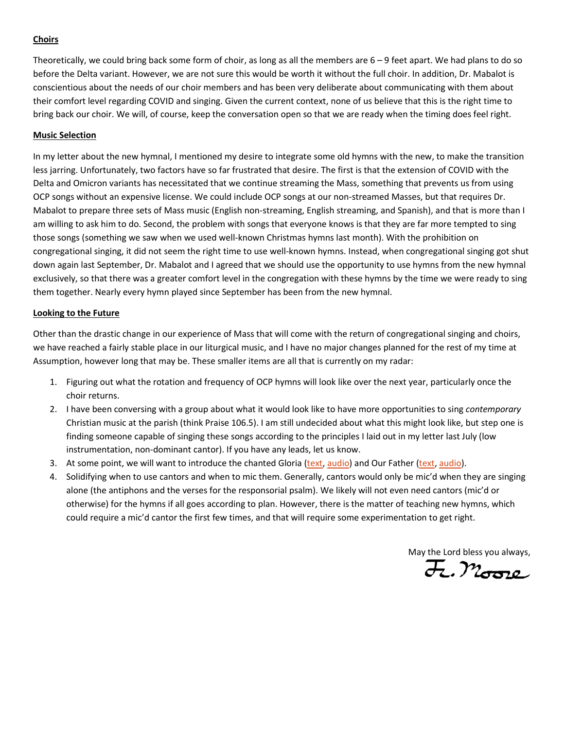### **Choirs**

Theoretically, we could bring back some form of choir, as long as all the members are 6 – 9 feet apart. We had plans to do so before the Delta variant. However, we are not sure this would be worth it without the full choir. In addition, Dr. Mabalot is conscientious about the needs of our choir members and has been very deliberate about communicating with them about their comfort level regarding COVID and singing. Given the current context, none of us believe that this is the right time to bring back our choir. We will, of course, keep the conversation open so that we are ready when the timing does feel right.

#### **Music Selection**

In my letter about the new hymnal, I mentioned my desire to integrate some old hymns with the new, to make the transition less jarring. Unfortunately, two factors have so far frustrated that desire. The first is that the extension of COVID with the Delta and Omicron variants has necessitated that we continue streaming the Mass, something that prevents us from using OCP songs without an expensive license. We could include OCP songs at our non-streamed Masses, but that requires Dr. Mabalot to prepare three sets of Mass music (English non-streaming, English streaming, and Spanish), and that is more than I am willing to ask him to do. Second, the problem with songs that everyone knows is that they are far more tempted to sing those songs (something we saw when we used well-known Christmas hymns last month). With the prohibition on congregational singing, it did not seem the right time to use well-known hymns. Instead, when congregational singing got shut down again last September, Dr. Mabalot and I agreed that we should use the opportunity to use hymns from the new hymnal exclusively, so that there was a greater comfort level in the congregation with these hymns by the time we were ready to sing them together. Nearly every hymn played since September has been from the new hymnal.

#### **Looking to the Future**

Other than the drastic change in our experience of Mass that will come with the return of congregational singing and choirs, we have reached a fairly stable place in our liturgical music, and I have no major changes planned for the rest of my time at Assumption, however long that may be. These smaller items are all that is currently on my radar:

- 1. Figuring out what the rotation and frequency of OCP hymns will look like over the next year, particularly once the choir returns.
- 2. I have been conversing with a group about what it would look like to have more opportunities to sing *contemporary*  Christian music at the parish (think Praise 106.5). I am still undecided about what this might look like, but step one is finding someone capable of singing these songs according to the principles I laid out in my letter last July (low instrumentation, non-dominant cantor). If you have any leads, let us know.
- 3. At some point, we will want to introduce the chanted Gloria [\(text,](https://npm.org/wp-content/uploads/2017/08/lordsprayer.pdf) [audio\)](https://npm.org/wp-content/uploads/2017/08/gloria.mp3?_=10) and Our Father (text, [audio\)](https://npm.org/wp-content/uploads/2017/08/ourfatherlow.mp3?_=29).
- 4. Solidifying when to use cantors and when to mic them. Generally, cantors would only be mic'd when they are singing alone (the antiphons and the verses for the responsorial psalm). We likely will not even need cantors (mic'd or otherwise) for the hymns if all goes according to plan. However, there is the matter of teaching new hymns, which could require a mic'd cantor the first few times, and that will require some experimentation to get right.

May the Lord bless you always,  $\overline{\mathcal{H}}$ .  $\mathcal{M}_{\text{G22}}$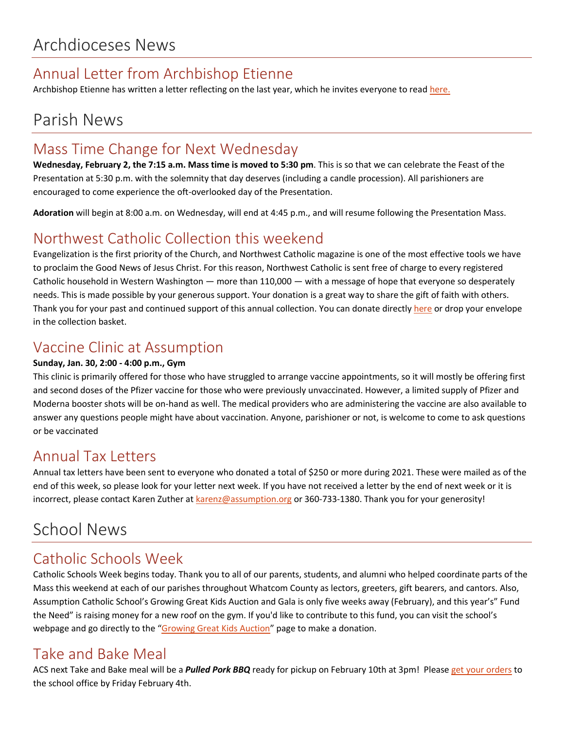# Annual Letter from Archbishop Etienne

Archbishop Etienne has written a letter reflecting on the last year, which he invites everyone to read [here.](https://archseattle.org/wp-content/uploads/2022/01/2022-New-Year-Letter-Final.pdf)

# Parish News

# Mass Time Change for Next Wednesday

**Wednesday, February 2, the 7:15 a.m. Mass time is moved to 5:30 pm**. This is so that we can celebrate the Feast of the Presentation at 5:30 p.m. with the solemnity that day deserves (including a candle procession). All parishioners are encouraged to come experience the oft-overlooked day of the Presentation.

**Adoration** will begin at 8:00 a.m. on Wednesday, will end at 4:45 p.m., and will resume following the Presentation Mass.

# Northwest Catholic Collection this weekend

Evangelization is the first priority of the Church, and Northwest Catholic magazine is one of the most effective tools we have to proclaim the Good News of Jesus Christ. For this reason, Northwest Catholic is sent free of charge to every registered Catholic household in Western Washington — more than 110,000 — with a message of hope that everyone so desperately needs. This is made possible by your generous support. Your donation is a great way to share the gift of faith with others. Thank you for your past and continued support of this annual collection. You can donate directl[y here](http://www.nwcatholic.org/give) or drop your envelope in the collection basket.

## Vaccine Clinic at Assumption

### **Sunday, Jan. 30, 2:00 - 4:00 p.m., Gym**

This clinic is primarily offered for those who have struggled to arrange vaccine appointments, so it will mostly be offering first and second doses of the Pfizer vaccine for those who were previously unvaccinated. However, a limited supply of Pfizer and Moderna booster shots will be on-hand as well. The medical providers who are administering the vaccine are also available to answer any questions people might have about vaccination. Anyone, parishioner or not, is welcome to come to ask questions or be vaccinated

## Annual Tax Letters

Annual tax letters have been sent to everyone who donated a total of \$250 or more during 2021. These were mailed as of the end of this week, so please look for your letter next week. If you have not received a letter by the end of next week or it is incorrect, please contact Karen Zuther a[t karenz@assumption.org](mailto:karenz@assumption.org) or 360-733-1380. Thank you for your generosity!

# School News

## Catholic Schools Week

Catholic Schools Week begins today. Thank you to all of our parents, students, and alumni who helped coordinate parts of the Mass this weekend at each of our parishes throughout Whatcom County as lectors, greeters, gift bearers, and cantors. Also, Assumption Catholic School's Growing Great Kids Auction and Gala is only five weeks away (February), and this year's" Fund the Need" is raising money for a new roof on the gym. If you'd like to contribute to this fund, you can visit the school's webpage and go directly to the "[Growing Great Kids Auction](https://event.auctria.com/bddd33ee-424b-4225-82db-26d2d4c4369d/)" page to make a donation.

## Take and Bake Meal

ACS next Take and Bake meal will be a *Pulled Pork BBQ* ready for pickup on February 10th at 3pm! Please [get your orders](https://school.assumption.org/wp-content/uploads/2022/01/BBQ-Pulled-Pork-To-Go-dinner.pdf) to the school office by Friday February 4th.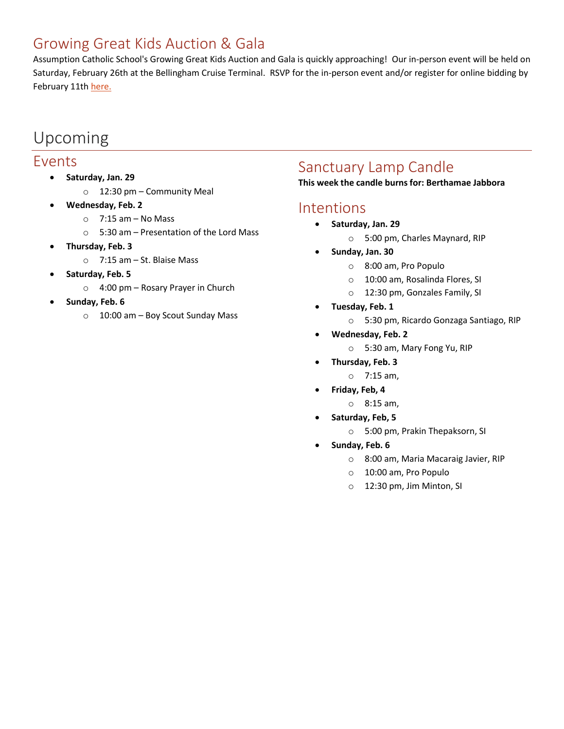## Growing Great Kids Auction & Gala

Assumption Catholic School's Growing Great Kids Auction and Gala is quickly approaching! Our in-person event will be held on Saturday, February 26th at the Bellingham Cruise Terminal. RSVP for the in-person event and/or register for online bidding by February 11t[h here.](https://charityauction.bid/growinggreatkids2022)

# Upcoming

### Events

- **Saturday, Jan. 29**
	- o 12:30 pm Community Meal
- **Wednesday, Feb. 2**
	- $\circ$  7:15 am No Mass
	- o 5:30 am Presentation of the Lord Mass
- **Thursday, Feb. 3**
	- o 7:15 am St. Blaise Mass
- **Saturday, Feb. 5**
	- o 4:00 pm Rosary Prayer in Church
- **Sunday, Feb. 6**
	- o 10:00 am Boy Scout Sunday Mass

# Sanctuary Lamp Candle

### **This week the candle burns for: Berthamae Jabbora**

## Intentions

- **Saturday, Jan. 29**
	- o 5:00 pm, Charles Maynard, RIP
- **Sunday, Jan. 30**
	- o 8:00 am, Pro Populo
	- o 10:00 am, Rosalinda Flores, SI
	- o 12:30 pm, Gonzales Family, SI
- **Tuesday, Feb. 1**
	- o 5:30 pm, Ricardo Gonzaga Santiago, RIP
- **Wednesday, Feb. 2**
	- o 5:30 am, Mary Fong Yu, RIP
	- **Thursday, Feb. 3**
		- o 7:15 am,
- **Friday, Feb, 4**
	- o 8:15 am,
- **Saturday, Feb, 5**
	- o 5:00 pm, Prakin Thepaksorn, SI
- **Sunday, Feb. 6**
	- o 8:00 am, Maria Macaraig Javier, RIP
	- o 10:00 am, Pro Populo
	- o 12:30 pm, Jim Minton, SI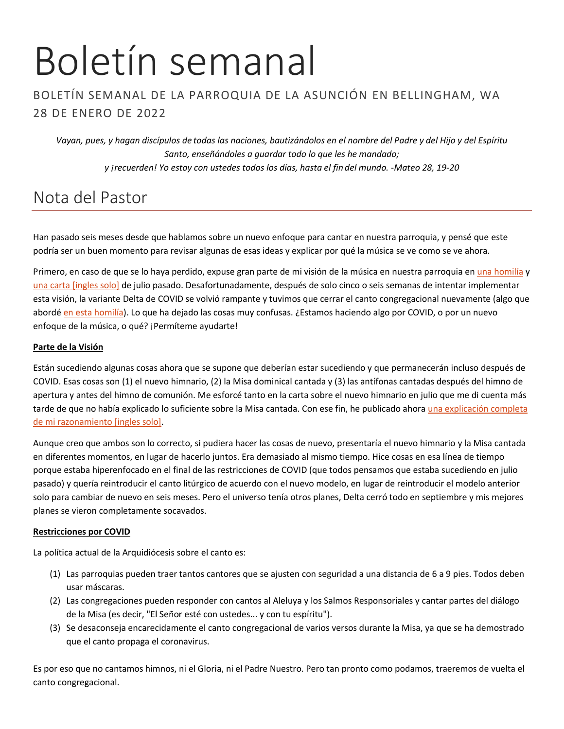# Boletín semanal

## BOLETÍN SEMANAL DE LA PARROQUIA DE LA ASUNCIÓN EN BELLINGHAM, WA 28 DE ENERO DE 2022

*Vayan, pues, y hagan discípulos de todas las naciones, bautizándolos en el nombre del Padre y del Hijo y del Espíritu Santo, enseñándoles a guardar todo lo que les he mandado; y ¡recuerden! Yo estoy con ustedes todos los días, hasta el fin del mundo. -Mateo 28, 19-20*

# Nota del Pastor

Han pasado seis meses desde que hablamos sobre un nuevo enfoque para cantar en nuestra parroquia, y pensé que este podría ser un buen momento para revisar algunas de esas ideas y explicar por qué la música se ve como se ve ahora.

Primero, en caso de que se lo haya perdido, expuse gran parte de mi visión de la música en nuestra parroquia en [una homilía](https://frmoore.com/2021/07/17/july-18-2021-singing-singable-songs/) y una carta [\[ingles solo\]](https://jeffreyhmoore.files.wordpress.com/2021/07/new_hymnal.pdf) de julio pasado. Desafortunadamente, después de solo cinco o seis semanas de intentar implementar esta visión, la variante Delta de COVID se volvió rampante y tuvimos que cerrar el canto congregacional nuevamente (algo que abordé [en esta homilía\)](https://frmoore.com/2021/09/04/september-05-2021-here-is-your-god/). Lo que ha dejado las cosas muy confusas. ¿Estamos haciendo algo por COVID, o por un nuevo enfoque de la música, o qué? ¡Permíteme ayudarte!

### **Parte de la Visión**

Están sucediendo algunas cosas ahora que se supone que deberían estar sucediendo y que permanecerán incluso después de COVID. Esas cosas son (1) el nuevo himnario, (2) la Misa dominical cantada y (3) las antífonas cantadas después del himno de apertura y antes del himno de comunión. Me esforcé tanto en la carta sobre el nuevo himnario en julio que me di cuenta más tarde de que no había explicado lo suficiente sobre la Misa cantada. Con ese fin, he publicado ahora una explicación completa [de mi razonamiento](https://jeffreyhmoore.files.wordpress.com/2022/01/2022-01_why-i-chant-the-mass.pdf) [ingles solo].

Aunque creo que ambos son lo correcto, si pudiera hacer las cosas de nuevo, presentaría el nuevo himnario y la Misa cantada en diferentes momentos, en lugar de hacerlo juntos. Era demasiado al mismo tiempo. Hice cosas en esa línea de tiempo porque estaba hiperenfocado en el final de las restricciones de COVID (que todos pensamos que estaba sucediendo en julio pasado) y quería reintroducir el canto litúrgico de acuerdo con el nuevo modelo, en lugar de reintroducir el modelo anterior solo para cambiar de nuevo en seis meses. Pero el universo tenía otros planes, Delta cerró todo en septiembre y mis mejores planes se vieron completamente socavados.

### **Restricciones por COVID**

La política actual de la Arquidiócesis sobre el canto es:

- (1) Las parroquias pueden traer tantos cantores que se ajusten con seguridad a una distancia de 6 a 9 pies. Todos deben usar máscaras.
- (2) Las congregaciones pueden responder con cantos al Aleluya y los Salmos Responsoriales y cantar partes del diálogo de la Misa (es decir, "El Señor esté con ustedes... y con tu espíritu").
- (3) Se desaconseja encarecidamente el canto congregacional de varios versos durante la Misa, ya que se ha demostrado que el canto propaga el coronavirus.

Es por eso que no cantamos himnos, ni el Gloria, ni el Padre Nuestro. Pero tan pronto como podamos, traeremos de vuelta el canto congregacional.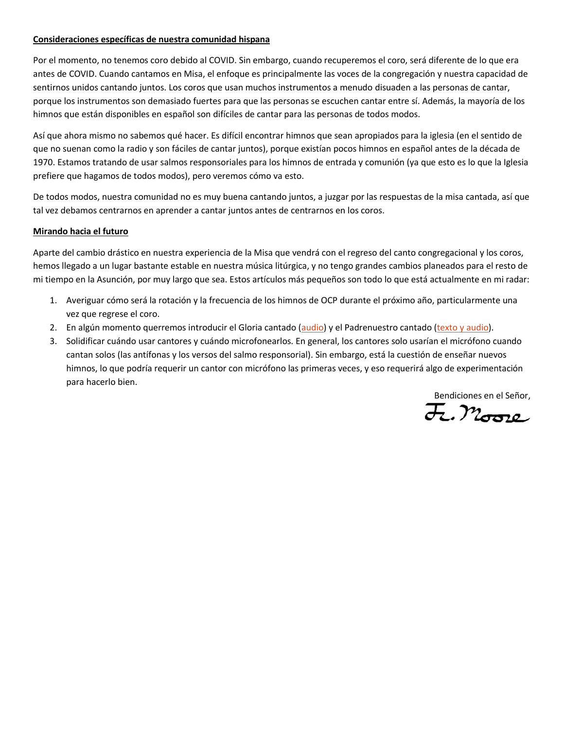### **Consideraciones específicas de nuestra comunidad hispana**

Por el momento, no tenemos coro debido al COVID. Sin embargo, cuando recuperemos el coro, será diferente de lo que era antes de COVID. Cuando cantamos en Misa, el enfoque es principalmente las voces de la congregación y nuestra capacidad de sentirnos unidos cantando juntos. Los coros que usan muchos instrumentos a menudo disuaden a las personas de cantar, porque los instrumentos son demasiado fuertes para que las personas se escuchen cantar entre sí. Además, la mayoría de los himnos que están disponibles en español son difíciles de cantar para las personas de todos modos.

Así que ahora mismo no sabemos qué hacer. Es difícil encontrar himnos que sean apropiados para la iglesia (en el sentido de que no suenan como la radio y son fáciles de cantar juntos), porque existían pocos himnos en español antes de la década de 1970. Estamos tratando de usar salmos responsoriales para los himnos de entrada y comunión (ya que esto es lo que la Iglesia prefiere que hagamos de todos modos), pero veremos cómo va esto.

De todos modos, nuestra comunidad no es muy buena cantando juntos, a juzgar por las respuestas de la misa cantada, así que tal vez debamos centrarnos en aprender a cantar juntos antes de centrarnos en los coros.

### **Mirando hacia el futuro**

Aparte del cambio drástico en nuestra experiencia de la Misa que vendrá con el regreso del canto congregacional y los coros, hemos llegado a un lugar bastante estable en nuestra música litúrgica, y no tengo grandes cambios planeados para el resto de mi tiempo en la Asunción, por muy largo que sea. Estos artículos más pequeños son todo lo que está actualmente en mi radar:

- 1. Averiguar cómo será la rotación y la frecuencia de los himnos de OCP durante el próximo año, particularmente una vez que regrese el coro.
- 2. En algún momento querremos introducir el Gloria cantado [\(audio\)](https://www.youtube.com/watch?v=JlGmCTlcr_Q) y el Padrenuestro cantado (texto y [audio\)](https://www.youtube.com/watch?v=u1JtM6QG1xA).
- 3. Solidificar cuándo usar cantores y cuándo microfonearlos. En general, los cantores solo usarían el micrófono cuando cantan solos (las antífonas y los versos del salmo responsorial). Sin embargo, está la cuestión de enseñar nuevos himnos, lo que podría requerir un cantor con micrófono las primeras veces, y eso requerirá algo de experimentación para hacerlo bien.

Bendiciones en el Señor,<br>H., Moore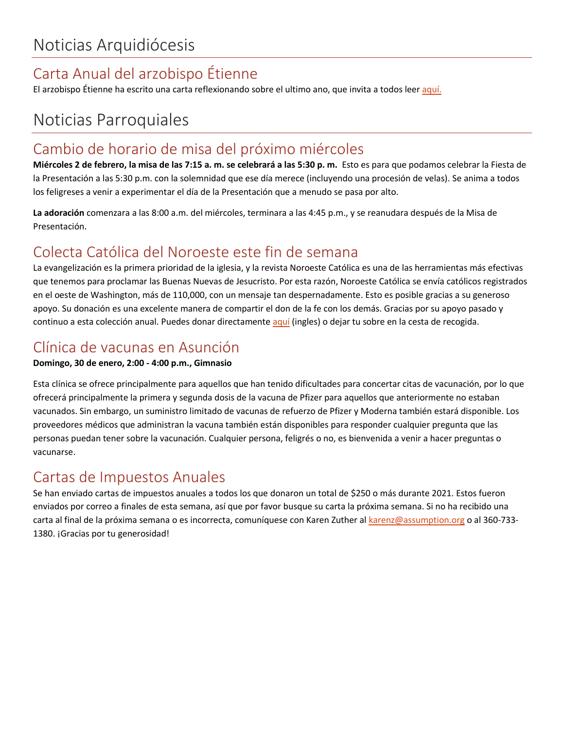# Carta Anual del arzobispo Étienne

El arzobispo Étienne ha escrito una carta reflexionando sobre el ultimo ano, que invita a todos leer [aquí.](https://archseattle.org/wp-content/uploads/2022/01/Final-2022-New-Year-Letter-Final_Spanish.pdf)

# Noticias Parroquiales

## Cambio de horario de misa del próximo miércoles

**Miércoles 2 de febrero, la misa de las 7:15 a. m. se celebrará a las 5:30 p. m.** Esto es para que podamos celebrar la Fiesta de la Presentación a las 5:30 p.m. con la solemnidad que ese día merece (incluyendo una procesión de velas). Se anima a todos los feligreses a venir a experimentar el día de la Presentación que a menudo se pasa por alto.

**La adoración** comenzara a las 8:00 a.m. del miércoles, terminara a las 4:45 p.m., y se reanudara después de la Misa de Presentación.

## Colecta Católica del Noroeste este fin de semana

La evangelización es la primera prioridad de la iglesia, y la revista Noroeste Católica es una de las herramientas más efectivas que tenemos para proclamar las Buenas Nuevas de Jesucristo. Por esta razón, Noroeste Católica se envía católicos registrados en el oeste de Washington, más de 110,000, con un mensaje tan despernadamente. Esto es posible gracias a su generoso apoyo. Su donación es una excelente manera de compartir el don de la fe con los demás. Gracias por su apoyo pasado y continuo a esta colección anual. Puedes donar directamente [aquí](https://archseattle.org/give-serve/giving-opportunities/northwest-catholic-donation/) (ingles) o dejar tu sobre en la cesta de recogida.

# Clínica de vacunas en Asunción

### **Domingo, 30 de enero, 2:00 - 4:00 p.m., Gimnasio**

Esta clínica se ofrece principalmente para aquellos que han tenido dificultades para concertar citas de vacunación, por lo que ofrecerá principalmente la primera y segunda dosis de la vacuna de Pfizer para aquellos que anteriormente no estaban vacunados. Sin embargo, un suministro limitado de vacunas de refuerzo de Pfizer y Moderna también estará disponible. Los proveedores médicos que administran la vacuna también están disponibles para responder cualquier pregunta que las personas puedan tener sobre la vacunación. Cualquier persona, feligrés o no, es bienvenida a venir a hacer preguntas o vacunarse.

## Cartas de Impuestos Anuales

Se han enviado cartas de impuestos anuales a todos los que donaron un total de \$250 o más durante 2021. Estos fueron enviados por correo a finales de esta semana, así que por favor busque su carta la próxima semana. Si no ha recibido una carta al final de la próxima semana o es incorrecta, comuníquese con Karen Zuther al [karenz@assumption.org](mailto:karenz@assumption.org) o al 360-733-1380. ¡Gracias por tu generosidad!